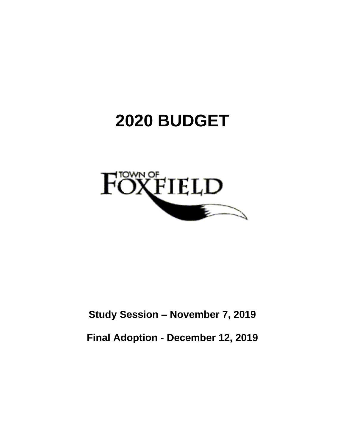# **2020 BUDGET**



**Study Session – November 7, 2019**

**Final Adoption - December 12, 2019**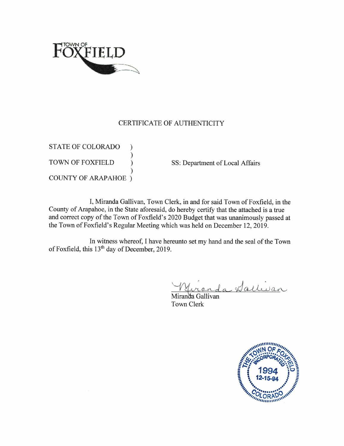

# CERTIFICATE OF AUTHENTICITY

**STATE OF COLORADO**  $\mathcal{E}$ **TOWN OF FOXFIELD**  $\lambda$ **COUNTY OF ARAPAHOE** )

SS: Department of Local Affairs

I, Miranda Gallivan, Town Clerk, in and for said Town of Foxfield, in the County of Arapahoe, in the State aforesaid, do hereby certify that the attached is a true and correct copy of the Town of Foxfield's 2020 Budget that was unanimously passed at the Town of Foxfield's Regular Meeting which was held on December 12, 2019.

In witness whereof, I have hereunto set my hand and the seal of the Town of Foxfield, this 13<sup>th</sup> day of December, 2019.

Sallivan

Miranda Gallivan **Town Clerk** 

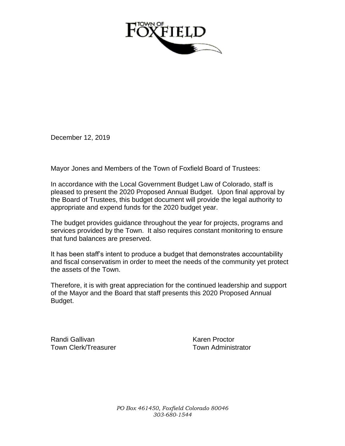

December 12, 2019

Mayor Jones and Members of the Town of Foxfield Board of Trustees:

In accordance with the Local Government Budget Law of Colorado, staff is pleased to present the 2020 Proposed Annual Budget. Upon final approval by the Board of Trustees, this budget document will provide the legal authority to appropriate and expend funds for the 2020 budget year.

The budget provides guidance throughout the year for projects, programs and services provided by the Town. It also requires constant monitoring to ensure that fund balances are preserved.

It has been staff's intent to produce a budget that demonstrates accountability and fiscal conservatism in order to meet the needs of the community yet protect the assets of the Town.

Therefore, it is with great appreciation for the continued leadership and support of the Mayor and the Board that staff presents this 2020 Proposed Annual Budget.

Randi Gallivan **Karen Proctor** Karen Proctor Town Clerk/Treasurer Town Administrator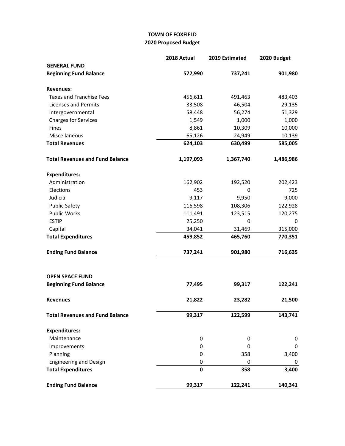## **TOWN OF FOXFIELD 2020 Proposed Budget**

|                                        | 2018 Actual | 2019 Estimated | 2020 Budget |
|----------------------------------------|-------------|----------------|-------------|
| <b>GENERAL FUND</b>                    |             |                |             |
| <b>Beginning Fund Balance</b>          | 572,990     | 737,241        | 901,980     |
| <b>Revenues:</b>                       |             |                |             |
| <b>Taxes and Franchise Fees</b>        | 456,611     | 491,463        | 483,403     |
| <b>Licenses and Permits</b>            | 33,508      | 46,504         | 29,135      |
| Intergovernmental                      | 58,448      | 56,274         | 51,329      |
| <b>Charges for Services</b>            | 1,549       | 1,000          | 1,000       |
| Fines                                  | 8,861       | 10,309         | 10,000      |
| Miscellaneous                          | 65,126      | 24,949         | 10,139      |
| <b>Total Revenues</b>                  | 624,103     | 630,499        | 585,005     |
| <b>Total Revenues and Fund Balance</b> | 1,197,093   | 1,367,740      | 1,486,986   |
| <b>Expenditures:</b>                   |             |                |             |
| Administration                         | 162,902     | 192,520        | 202,423     |
| Elections                              | 453         | 0              | 725         |
| Judicial                               | 9,117       | 9,950          | 9,000       |
| <b>Public Safety</b>                   | 116,598     | 108,306        | 122,928     |
| <b>Public Works</b>                    | 111,491     | 123,515        | 120,275     |
| <b>ESTIP</b>                           | 25,250      | 0              | 0           |
| Capital                                | 34,041      | 31,469         | 315,000     |
| <b>Total Expenditures</b>              | 459,852     | 465,760        | 770,351     |
| <b>Ending Fund Balance</b>             | 737,241     | 901,980        | 716,635     |
| <b>OPEN SPACE FUND</b>                 |             |                |             |
| <b>Beginning Fund Balance</b>          | 77,495      | 99,317         | 122,241     |
| <b>Revenues</b>                        | 21,822      | 23,282         | 21,500      |
| <b>Total Revenues and Fund Balance</b> | 99,317      | 122,599        | 143,741     |
| <b>Expenditures:</b>                   |             |                |             |
| Maintenance                            | 0           | 0              | 0           |
| Improvements                           | 0           | 0              | 0           |
| Planning                               | 0           | 358            | 3,400       |
| <b>Engineering and Design</b>          | 0           | 0              | 0           |
| <b>Total Expenditures</b>              | 0           | 358            | 3,400       |
| <b>Ending Fund Balance</b>             | 99,317      | 122,241        | 140,341     |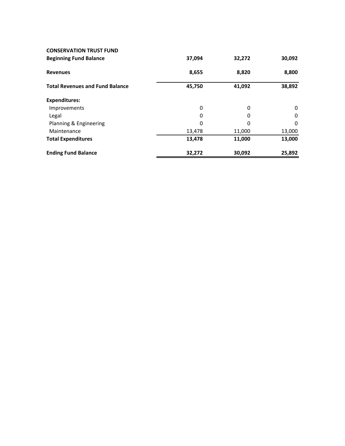| <b>CONSERVATION TRUST FUND</b>         |        |        |        |  |
|----------------------------------------|--------|--------|--------|--|
| <b>Beginning Fund Balance</b>          | 37,094 | 32,272 | 30,092 |  |
| <b>Revenues</b>                        | 8,655  | 8,820  | 8,800  |  |
| <b>Total Revenues and Fund Balance</b> | 45,750 | 41,092 | 38,892 |  |
| <b>Expenditures:</b>                   |        |        |        |  |
| Improvements                           | 0      | 0      | 0      |  |
| Legal                                  | 0      | 0      | 0      |  |
| Planning & Engineering                 | 0      | 0      | 0      |  |
| Maintenance                            | 13,478 | 11,000 | 13,000 |  |
| <b>Total Expenditures</b>              | 13,478 | 11,000 | 13,000 |  |
| <b>Ending Fund Balance</b>             | 32,272 | 30,092 | 25,892 |  |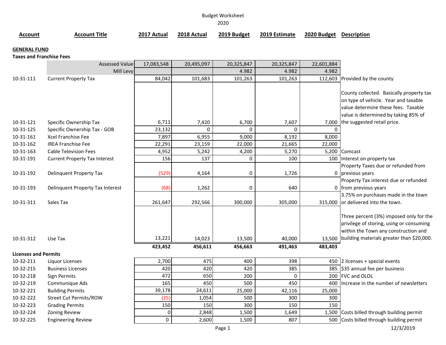2020

| Account | Title<br>Account i | 2017 Actual | 2018 Actual | 2019 Budget | 2019 Estimate | 2020 Budget | <b>Description</b> |
|---------|--------------------|-------------|-------------|-------------|---------------|-------------|--------------------|
|---------|--------------------|-------------|-------------|-------------|---------------|-------------|--------------------|

## **GENERAL FUND**

#### **Taxes and Franchise Fees**

|                             | <b>Assessed Value</b>                | 17,083,548 | 20,495,097 | 20,325,847  | 20,325,847 | 22,601,884 |                                           |
|-----------------------------|--------------------------------------|------------|------------|-------------|------------|------------|-------------------------------------------|
|                             | Mill Levy                            |            |            | 4.982       | 4.982      | 4.982      |                                           |
| 10-31-111                   | <b>Current Property Tax</b>          | 84,042     | 101,683    | 101,263     | 101,263    | 112,603    | Provided by the county                    |
|                             |                                      |            |            |             |            |            |                                           |
|                             |                                      |            |            |             |            |            | County collected. Basically property tax  |
|                             |                                      |            |            |             |            |            | on type of vehicle. Year and taxable      |
|                             |                                      |            |            |             |            |            | value determine these fees. Taxable       |
|                             |                                      |            |            |             |            |            | value is determined by taking 85% of      |
| 10-31-121                   | Specific Ownership Tax               | 6,711      | 7,420      | 6,700       | 7,607      | 7,000      | the suggested retail price.               |
| 10-31-125                   | Specific Ownership Tax - GOB         | 23,132     | $\Omega$   | $\Omega$    | $\Omega$   | $\Omega$   |                                           |
| 10-31-161                   | Xcel Franchise Fee                   | 7,897      | 6,955      | 9,000       | 8,192      | 8,000      |                                           |
| 10-31-162                   | <b>IREA Franchise Fee</b>            | 22,291     | 23,159     | 22,000      | 21,665     | 22,000     |                                           |
| 10-31-163                   | <b>Cable Television Fees</b>         | 4,952      | 5,242      | 4,200       | 5,270      | 5,200      | Comcast                                   |
| 10-31-191                   | <b>Current Property Tax Interest</b> | 156        | 137        | $\mathbf 0$ | 100        | 100        | Interest on property tax                  |
|                             |                                      |            |            |             |            |            | Property Taxes due or refunded from       |
| 10-31-192                   | Delinquent Property Tax              | (529)      | 4,164      | $\pmb{0}$   | 1,726      | 0          | previous years                            |
|                             |                                      |            |            |             |            |            | Property Tax interest due or refunded     |
| 10-31-193                   | Delinquent Property Tax Interest     | (68)       | 1,262      | $\pmb{0}$   | 640        |            | 0 from previous years                     |
|                             |                                      |            |            |             |            |            | 3.75% on purchases made in the town       |
| 10-31-311                   | Sales Tax                            | 261,647    | 292,566    | 300,000     | 305,000    | 315,000    | or delivered into the town.               |
|                             |                                      |            |            |             |            |            |                                           |
|                             |                                      |            |            |             |            |            | Three percent (3%) imposed only for the   |
|                             |                                      |            |            |             |            |            | privilege of storing, using or consuming  |
|                             |                                      |            |            |             |            |            | within the Town any construction and      |
| 10-31-312                   | Use Tax                              | 13,221     | 14,023     | 13,500      | 40,000     | 13,500     | building materials greater than \$20,000. |
|                             |                                      | 423,452    | 456,611    | 456,663     | 491,463    | 483,403    |                                           |
| <b>Licenses and Permits</b> |                                      |            |            |             |            |            |                                           |
| 10-32-211                   | Liquor Licenses                      | 2,700      | 475        | 400         | 398        | 450        | 2 licenses + special events               |
| 10-32-215                   | <b>Business Licenses</b>             | 420        | 420        | 420         | 385        | 385        | \$35 annual fee per business              |
| 10-32-218                   | Sign Permits                         | 472        | 650        | 200         | $\Omega$   | 200        | <b>FVC and OLOL</b>                       |
| 10-32-219                   | Communique Ads                       | 165        | 450        | 500         | 450        | 400        | Increase in the number of newsletters     |
| 10-32-221                   | <b>Building Permits</b>              | 39,178     | 24,611     | 25,000      | 42,116     | 25,000     |                                           |
| 10-32-222                   | <b>Street Cut Permits/ROW</b>        | (25)       | 1,054      | 500         | 300        | 300        |                                           |
| 10-32-223                   | <b>Grading Permits</b>               | 150        | 150        | 300         | 150        | 150        |                                           |
| 10-32-224                   | <b>Zoning Review</b>                 | $\Omega$   | 2,848      | 1,500       | 1,649      | 1,500      | Costs billed through building permit      |
| 10-32-225                   | <b>Engineering Review</b>            | 0          | 2,600      | 1,500       | 807        | 500        | Costs billed through building permit      |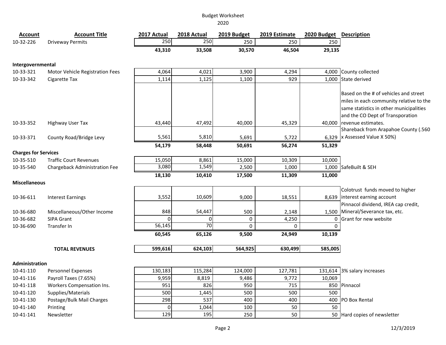| <b>Account</b>              | <b>Account Title</b>                 | 2017 Actual | 2018 Actual        | 2019 Budget | 2019 Estimate     | 2020 Budget          | <b>Description</b>                      |
|-----------------------------|--------------------------------------|-------------|--------------------|-------------|-------------------|----------------------|-----------------------------------------|
| 10-32-226                   | <b>Driveway Permits</b>              | 250         | 250                | 250         | 250               | 250                  |                                         |
|                             |                                      | 43,310      | 33,508             | 30,570      | 46,504            | 29,135               |                                         |
| Intergovernmental           |                                      |             |                    |             |                   |                      |                                         |
| 10-33-321                   | Motor Vehicle Registration Fees      | 4,064       | 4,021              | 3,900       | 4,294             | 4,000                | County collected                        |
| 10-33-342                   | Cigarette Tax                        | 1,114       | 1,125              | 1,100       | 929               | 1,000                | <b>State derived</b>                    |
|                             |                                      |             |                    |             |                   |                      | Based on the # of vehicles and street   |
|                             |                                      |             |                    |             |                   |                      | miles in each community relative to the |
|                             |                                      |             |                    |             |                   |                      | same statistics in other municipalities |
|                             |                                      |             |                    |             |                   |                      | and the CO Dept of Transporation        |
| 10-33-352                   | Highway User Tax                     | 43,440      | 47,492             | 40,000      | 45,329            | 40,000               | revenue estimates.                      |
|                             |                                      |             |                    |             |                   |                      | Shareback from Arapahoe County (.560    |
| 10-33-371                   | County Road/Bridge Levy              | 5,561       | 5,810              | 5,691       | 5,722             | 6,329                | x Assessed Value X 50%)                 |
|                             |                                      | 54,179      | 58,448             | 50,691      | 56,274            | 51,329               |                                         |
| <b>Charges for Services</b> |                                      |             |                    |             |                   |                      |                                         |
| 10-35-510                   | <b>Traffic Court Revenues</b>        | 15,050      | 8,861              | 15,000      | 10,309            | 10,000               |                                         |
| 10-35-540                   | <b>Chargeback Administration Fee</b> | 3,080       | 1,549              | 2,500       | 1,000             |                      | 1,000 SafeBuilt & SEH                   |
|                             |                                      | 18,130      | 10,410             | 17,500      | 11,309            | 11,000               |                                         |
| <b>Miscellaneous</b>        |                                      |             |                    |             |                   |                      |                                         |
|                             |                                      |             |                    |             |                   |                      | Colotrust funds moved to higher         |
| 10-36-611                   | <b>Interest Earnings</b>             | 3,552       | 10,609             | 9,000       | 18,551            | 8,639                | interest earning account                |
|                             |                                      |             |                    |             |                   |                      | Pinnacol dividend, IREA cap credit,     |
| 10-36-680                   | Miscellaneous/Other Income           | 848         | 54,447<br>$\Omega$ | 500         | 2,148             | 1,500                | Mineral/Severance tax, etc.             |
| 10-36-682<br>10-36-690      | <b>SIPA Grant</b><br>Transfer In     | 56,145      | 70                 | 0<br>0      | 4,250<br>$\Omega$ | $\Omega$<br>$\Omega$ | Grant for new website                   |
|                             |                                      |             |                    |             |                   |                      |                                         |
|                             |                                      | 60,545      | 65,126             | 9,500       | 24,949            | 10,139               |                                         |
|                             | <b>TOTAL REVENUES</b>                | 599,616     | 624,103            | 564,925     | 630,499           | 585,005              |                                         |
| <b>Administration</b>       |                                      |             |                    |             |                   |                      |                                         |
| 10-41-110                   | <b>Personnel Expenses</b>            | 130,183     | 115,284            | 124,000     | 127,781           | 131,614              | 3% salary increases                     |
| 10-41-116                   | Payroll Taxes (7.65%)                | 9,959       | 8,819              | 9,486       | 9,772             | 10,069               |                                         |
| 10-41-118                   | Workers Compensation Ins.            | 951         | 826                | 950         | 715               |                      | 850 Pinnacol                            |
| 10-41-120                   | Supplies/Materials                   | 500         | 1,445              | 500         | 500               | 500                  |                                         |
| 10-41-130                   | Postage/Bulk Mail Charges            | 298         | 537                | 400         | 400               | 400                  | PO Box Rental                           |
| 10-41-140                   | Printing                             | $\Omega$    | 1,044              | 100         | 50                | 50                   |                                         |
| 10-41-141                   | Newsletter                           | 129         | 195                | 250         | 50                |                      | 50 Hard copies of newsletter            |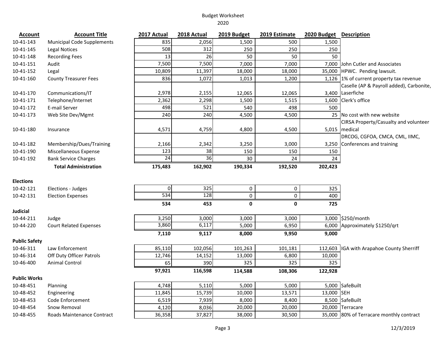| <b>Account</b>       | <b>Account Title</b>              | 2017 Actual | 2018 Actual | 2019 Budget         | 2019 Estimate | 2020 Budget | <b>Description</b>                       |
|----------------------|-----------------------------------|-------------|-------------|---------------------|---------------|-------------|------------------------------------------|
| 10-41-143            | <b>Municipal Code Supplements</b> | 835         | 2,056       | 1,500               | 500           | 1,500       |                                          |
| 10-41-145            | <b>Legal Notices</b>              | 508         | 312         | 250                 | 250           | 250         |                                          |
| 10-41-148            | <b>Recording Fees</b>             | 13          | 26          | 50                  | 50            | 50          |                                          |
| 10-41-151            | Audit                             | 7,500       | 7,500       | 7,000               | 7,000         | 7.000       | John Cutler and Associates               |
| 10-41-152            | Legal                             | 10,809      | 11,397      | 18,000              | 18,000        |             | 35,000 HPWC. Pending lawsuit.            |
| 10-41-160            | <b>County Treasurer Fees</b>      | 836         | 1,072       | 1,013               | 1,200         |             | 1,126 1% of current property tax revenue |
|                      |                                   |             |             |                     |               |             | Caselle (AP & Payroll added), Carbonite, |
| 10-41-170            | Communications/IT                 | 2,978       | 2,155       | 12,065              | 12,065        |             | 3,400 Laserfiche                         |
| 10-41-171            | Telephone/Internet                | 2,362       | 2,298       | 1,500               | 1,515         | 1,600       | Clerk's office                           |
| 10-41-172            | E-mail Server                     | 498         | 521         | 540                 | 498           | 500         |                                          |
| 10-41-173            | Web Site Dev/Mgmt                 | 240         | 240         | 4,500               | 4,500         |             | 25 No cost with new website              |
|                      |                                   |             |             |                     |               |             | CIRSA Property/Casualty and volunteer    |
| 10-41-180            | Insurance                         | 4,571       | 4,759       | 4,800               | 4,500         |             | $5,015$ medical                          |
|                      |                                   |             |             |                     |               |             | DRCOG, CGFOA, CMCA, CML, IIMC,           |
| 10-41-182            | Membership/Dues/Training          | 2,166       | 2,342       | 3,250               | 3,000         | 3,250       | Conferences and training                 |
| 10-41-190            | Miscellaneous Expense             | 123         | 38          | 150                 | 150           | 150         |                                          |
| 10-41-192            | <b>Bank Service Charges</b>       | 24          | 36          | $\overline{30}$     | 24            | 24          |                                          |
|                      | <b>Total Administration</b>       | 175,483     | 162,902     | 190,334             | 192,520       | 202,423     |                                          |
|                      |                                   |             |             |                     |               |             |                                          |
| <b>Elections</b>     |                                   |             |             |                     |               |             |                                          |
| 10-42-121            | Elections - Judges                | $\Omega$    | 325         | $\pmb{0}$           | $\pmb{0}$     | 325         |                                          |
| 10-42-131            | <b>Election Expenses</b>          | 534         | 128         | $\mathsf{O}\xspace$ | $\pmb{0}$     | 400         |                                          |
|                      |                                   | 534         | 453         | $\mathbf 0$         | $\mathbf 0$   | 725         |                                          |
| <b>Judicial</b>      |                                   |             |             |                     |               |             |                                          |
| 10-44-211            | Judge                             | 3,250       | 3,000       | 3,000               | 3,000         |             | 3,000 \$250/month                        |
| 10-44-220            | <b>Court Related Expenses</b>     | 3,860       | 6,117       | 5,000               | 6,950         |             | 6,000 Approximately \$1250/qrt           |
|                      |                                   | 7,110       | 9,117       | 8,000               | 9,950         | 9,000       |                                          |
| <b>Public Safety</b> |                                   |             |             |                     |               |             |                                          |
| 10-46-311            | Law Enforcement                   | 85,110      | 102,056     | 101,263             | 101,181       | 112,603     | IGA with Arapahoe County Sherriff        |
| 10-46-314            | Off Duty Officer Patrols          | 12,746      | 14,152      | 13,000              | 6,800         | 10,000      |                                          |
| 10-46-400            | <b>Animal Control</b>             | 65          | 390         | 325                 | 325           | 325         |                                          |
|                      |                                   | 97,921      | 116,598     | 114,588             | 108,306       | 122,928     |                                          |
| <b>Public Works</b>  |                                   |             |             |                     |               |             |                                          |
| 10-48-451            | Planning                          | 4,748       | 5,110       | 5,000               | 5,000         |             | 5,000 SafeBuilt                          |
| 10-48-452            | Engineering                       | 11,845      | 15,739      | 10,000              | 13,571        | 13,000 SEH  |                                          |
| 10-48-453            | Code Enforcement                  | 6,519       | 7,939       | 8,000               | 8,400         |             | 8,500 SafeBuilt                          |
| 10-48-454            | Snow Removal                      | 4,120       | 8,036       | 20,000              | 20,000        |             | 20,000 Terracare                         |
| 10-48-455            | Roads Maintenance Contract        | 36,358      | 37,827      | 38,000              | 30,500        |             | 35,000 80% of Terracare monthly contract |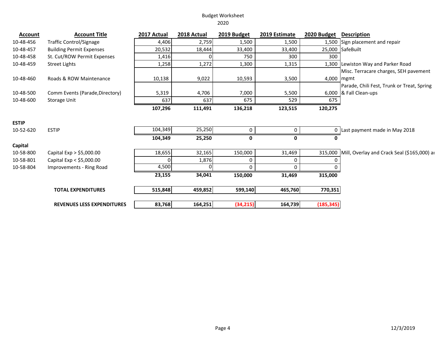| <b>Account</b> | <b>Account Title</b>              | 2017 Actual | 2018 Actual | 2019 Budget | 2019 Estimate | 2020 Budget | <b>Description</b>                          |
|----------------|-----------------------------------|-------------|-------------|-------------|---------------|-------------|---------------------------------------------|
| 10-48-456      | <b>Traffic Control/Signage</b>    | 4,406       | 2,759       | 1,500       | 1,500         |             | 1,500 Sign placement and repair             |
| 10-48-457      | <b>Building Permit Expenses</b>   | 20,532      | 18,444      | 33,400      | 33,400        |             | 25,000 SafeBuilt                            |
| 10-48-458      | St. Cut/ROW Permit Expenses       | 1,416       |             | 750         | 300           | 300         |                                             |
| 10-48-459      | <b>Street Lights</b>              | 1,258       | 1,272       | 1,300       | 1,315         | 1,300       | Lewiston Way and Parker Road                |
|                |                                   |             |             |             |               |             | Misc. Terracare charges, SEH pavement       |
| 10-48-460      | Roads & ROW Maintenance           | 10,138      | 9,022       | 10,593      | 3,500         | 4,000 mgmt  |                                             |
|                |                                   |             |             |             |               |             | Parade, Chili Fest, Trunk or Treat, Spring  |
| 10-48-500      | Comm Events (Parade, Directory)   | 5,319       | 4,706       | 7,000       | 5,500         |             | 6,000 & Fall Clean-ups                      |
| 10-48-600      | Storage Unit                      | 637         | 637         | 675         | 529           | 675         |                                             |
|                |                                   | 107,296     | 111,491     | 136,218     | 123,515       | 120,275     |                                             |
|                |                                   |             |             |             |               |             |                                             |
| <b>ESTIP</b>   |                                   |             |             |             |               |             |                                             |
| 10-52-620      | <b>ESTIP</b>                      | 104,349     | 25,250      | 0           | 0             |             | 0 Last payment made in May 2018             |
|                |                                   | 104,349     | 25,250      | 0           | 0             |             |                                             |
| Capital        |                                   |             |             |             |               |             |                                             |
| 10-58-800      | Capital Exp > \$5,000.00          | 18,655      | 32,165      | 150,000     | 31,469        | 315,000     | Mill, Overlay and Crack Seal (\$165,000) ar |
| 10-58-801      | Capital Exp < \$5,000.00          |             | 1,876       | 0           | 0             | C           |                                             |
| 10-58-804      | Improvements - Ring Road          | 4,500       |             | $\Omega$    | 0             |             |                                             |
|                |                                   | 23,155      | 34,041      | 150,000     | 31,469        | 315,000     |                                             |
|                |                                   |             |             |             |               |             |                                             |
|                | <b>TOTAL EXPENDITURES</b>         | 515,848     | 459,852     | 599,140     | 465,760       | 770,351     |                                             |
|                |                                   |             |             |             |               |             |                                             |
|                | <b>REVENUES LESS EXPENDITURES</b> | 83,768      | 164,251     | (34, 215)   | 164,739       | (185, 345)  |                                             |
|                |                                   |             |             |             |               |             |                                             |